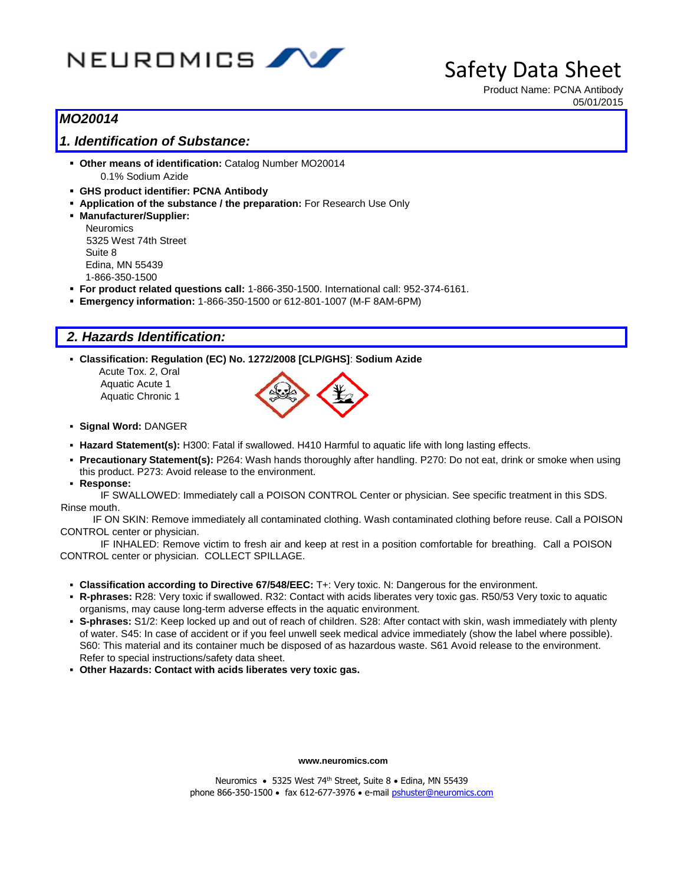

Product Name: PCNA Antibody 05/01/2015

# *MO20014*

# *1. Identification of Substance:*

- **Other means of identification:** Catalog Number MO20014 0.1% Sodium Azide
- **GHS product identifier: PCNA Antibody**
- **Application of the substance / the preparation:** For Research Use Only
- **Manufacturer/Supplier:**

**Neuromics** 5325 West 74th Street Suite 8 Edina, MN 55439 1-866-350-1500

- **For product related questions call:** 1-866-350-1500. International call: 952-374-6161.
- **Emergency information:** 1-866-350-1500 or 612-801-1007 (M-F 8AM-6PM)

# *2. Hazards Identification:*

**Classification: Regulation (EC) No. 1272/2008 [CLP/GHS]**: **Sodium Azide**

 Acute Tox. 2, Oral Aquatic Acute 1 Aquatic Chronic 1



- **Signal Word:** DANGER
- **Hazard Statement(s):** H300: Fatal if swallowed. H410 Harmful to aquatic life with long lasting effects.
- **Precautionary Statement(s):** P264: Wash hands thoroughly after handling. P270: Do not eat, drink or smoke when using this product. P273: Avoid release to the environment.
- **Response:**

IF SWALLOWED: Immediately call a POISON CONTROL Center or physician. See specific treatment in this SDS. Rinse mouth.

IF ON SKIN: Remove immediately all contaminated clothing. Wash contaminated clothing before reuse. Call a POISON CONTROL center or physician.

IF INHALED: Remove victim to fresh air and keep at rest in a position comfortable for breathing. Call a POISON CONTROL center or physician. COLLECT SPILLAGE.

- **Classification according to Directive 67/548/EEC:** T+: Very toxic. N: Dangerous for the environment.
- **R-phrases:** R28: Very toxic if swallowed. R32: Contact with acids liberates very toxic gas. R50/53 Very toxic to aquatic organisms, may cause long-term adverse effects in the aquatic environment.
- **S-phrases:** S1/2: Keep locked up and out of reach of children. S28: After contact with skin, wash immediately with plenty of water. S45: In case of accident or if you feel unwell seek medical advice immediately (show the label where possible). S60: This material and its container much be disposed of as hazardous waste. S61 Avoid release to the environment. Refer to special instructions/safety data sheet.
- **Other Hazards: Contact with acids liberates very toxic gas.**

**www.neuromics.com**

Neuromics • 5325 West 74<sup>th</sup> Street, Suite 8 • Edina, MN 55439 phone 866-350-1500 · fax 612-677-3976 · e-mail *pshuster@neuromics.com*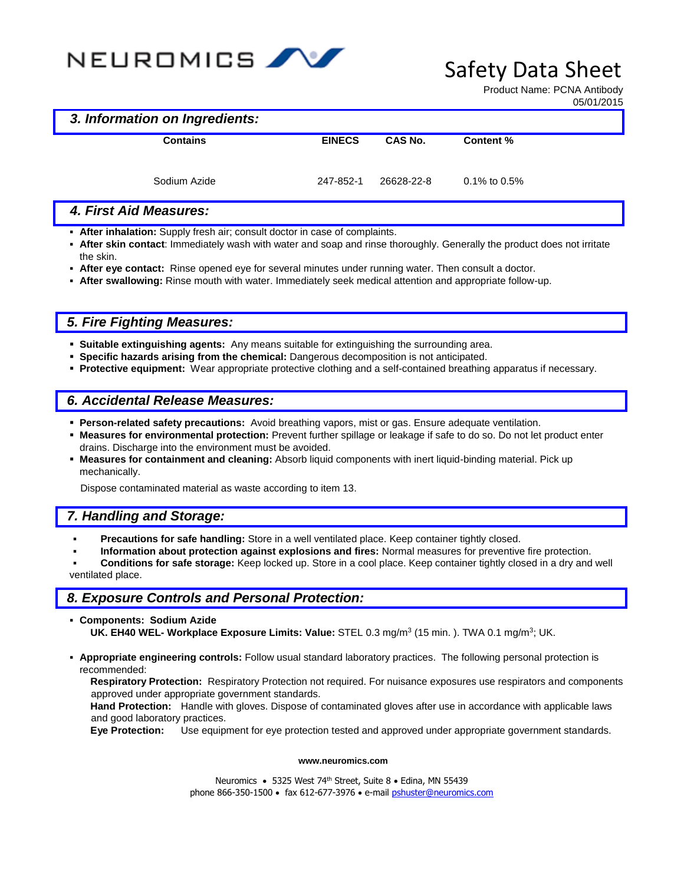

Product Name: PCNA Antibody 05/01/2015

#### *3. Information on Ingredients:*

| <b>Contains</b> | <b>EINECS</b> | CAS No.    | Content %          |
|-----------------|---------------|------------|--------------------|
| Sodium Azide    | 247-852-1     | 26628-22-8 | $0.1\%$ to $0.5\%$ |

### *4. First Aid Measures:*

- **After inhalation:** Supply fresh air; consult doctor in case of complaints.
- **After skin contact**: Immediately wash with water and soap and rinse thoroughly. Generally the product does not irritate the skin.
- **After eye contact:** Rinse opened eye for several minutes under running water. Then consult a doctor.
- **After swallowing:** Rinse mouth with water. Immediately seek medical attention and appropriate follow-up.

## *5. Fire Fighting Measures:*

- **Suitable extinguishing agents:** Any means suitable for extinguishing the surrounding area.
- **Specific hazards arising from the chemical:** Dangerous decomposition is not anticipated.
- **Protective equipment:** Wear appropriate protective clothing and a self-contained breathing apparatus if necessary.

# *6. Accidental Release Measures:*

- **Person-related safety precautions:** Avoid breathing vapors, mist or gas. Ensure adequate ventilation.
- **Measures for environmental protection:** Prevent further spillage or leakage if safe to do so. Do not let product enter drains. Discharge into the environment must be avoided.
- **Measures for containment and cleaning:** Absorb liquid components with inert liquid-binding material. Pick up mechanically.

Dispose contaminated material as waste according to item 13.

## *7. Handling and Storage:*

- **Precautions for safe handling:** Store in a well ventilated place. Keep container tightly closed.
- **Information about protection against explosions and fires:** Normal measures for preventive fire protection.
- **Conditions for safe storage:** Keep locked up. Store in a cool place. Keep container tightly closed in a dry and well ventilated place.

### *8. Exposure Controls and Personal Protection:*

- **Components: Sodium Azide UK. EH40 WEL- Workplace Exposure Limits: Value:** STEL 0.3 mg/m<sup>3</sup> (15 min. ). TWA 0.1 mg/m<sup>3</sup> ; UK.
- **Appropriate engineering controls:** Follow usual standard laboratory practices. The following personal protection is recommended:

**Respiratory Protection:** Respiratory Protection not required. For nuisance exposures use respirators and components approved under appropriate government standards.

**Hand Protection:** Handle with gloves. Dispose of contaminated gloves after use in accordance with applicable laws and good laboratory practices.

**Eye Protection:** Use equipment for eye protection tested and approved under appropriate government standards.

#### **www.neuromics.com**

Neuromics • 5325 West 74<sup>th</sup> Street, Suite 8 • Edina, MN 55439 phone 866-350-1500 · fax 612-677-3976 · e-mail *pshuster@neuromics.com*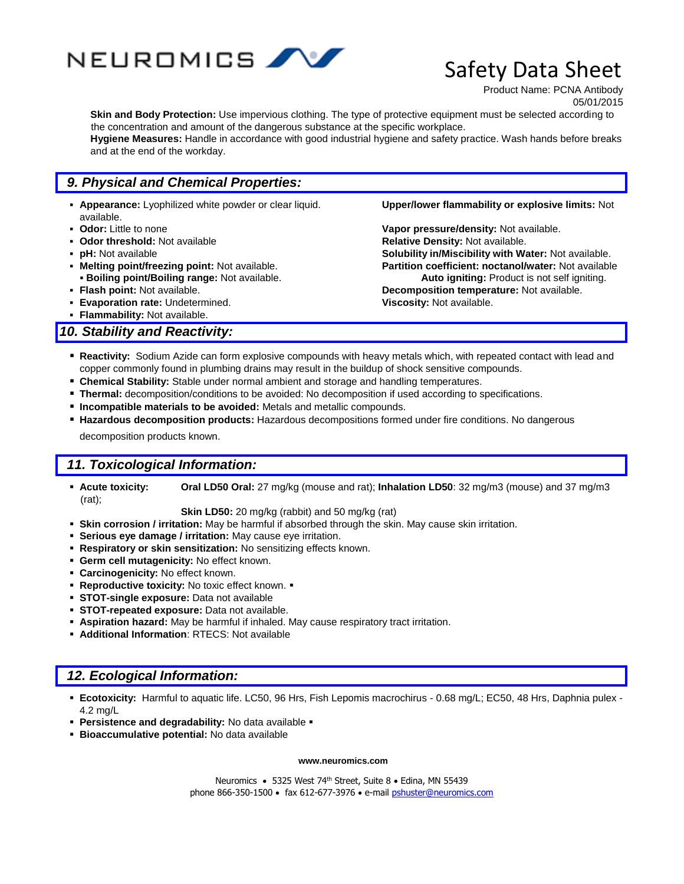

Product Name: PCNA Antibody 05/01/2015

**Skin and Body Protection:** Use impervious clothing. The type of protective equipment must be selected according to the concentration and amount of the dangerous substance at the specific workplace.

**Hygiene Measures:** Handle in accordance with good industrial hygiene and safety practice. Wash hands before breaks and at the end of the workday.

# *9. Physical and Chemical Properties:*

- **Appearance:** Lyophilized white powder or clear liquid. **Upper/lower flammability or explosive limits:** Not available.
- 
- **Deadler Ending Struth Codor threshold:** Not available. **Relative Density:** Not available.
- 
- 
- 
- **Evaporation rate:** Undetermined. **Viscosity:** Not available.
- **Flammability:** Not available.

### *10. Stability and Reactivity:*

 **Odor:** Little to none **Vapor pressure/density:** Not available. **pH:** Not available **Solubility in/Miscibility with Water:** Not available. **Melting point/freezing point:** Not available. **Partition coefficient: noctanol/water:** Not available **Boiling point/Boiling range:** Not available. **Auto igniting:** Product is not self igniting. **Flash point:** Not available. **Decomposition temperature:** Not available.

- **Reactivity:** Sodium Azide can form explosive compounds with heavy metals which, with repeated contact with lead and copper commonly found in plumbing drains may result in the buildup of shock sensitive compounds.
- **Chemical Stability:** Stable under normal ambient and storage and handling temperatures.
- **Thermal:** decomposition/conditions to be avoided: No decomposition if used according to specifications.
- **Incompatible materials to be avoided:** Metals and metallic compounds.
- **Hazardous decomposition products:** Hazardous decompositions formed under fire conditions. No dangerous decomposition products known.

#### *11. Toxicological Information:*

 **Acute toxicity: Oral LD50 Oral:** 27 mg/kg (mouse and rat); **Inhalation LD50**: 32 mg/m3 (mouse) and 37 mg/m3 (rat);

**Skin LD50:** 20 mg/kg (rabbit) and 50 mg/kg (rat)

- **Skin corrosion / irritation:** May be harmful if absorbed through the skin. May cause skin irritation.
- **Serious eye damage / irritation:** May cause eye irritation.
- **Respiratory or skin sensitization:** No sensitizing effects known.
- **Germ cell mutagenicity:** No effect known.
- **Carcinogenicity:** No effect known.
- **Reproductive toxicity:** No toxic effect known.  $\blacksquare$
- **STOT-single exposure:** Data not available
- **STOT-repeated exposure:** Data not available.
- **Aspiration hazard:** May be harmful if inhaled. May cause respiratory tract irritation.
- **Additional Information**: RTECS: Not available

## *12. Ecological Information:*

- **Ecotoxicity:** Harmful to aquatic life. LC50, 96 Hrs, Fish Lepomis macrochirus 0.68 mg/L; EC50, 48 Hrs, Daphnia pulex 4.2 mg/L
- **Persistence and degradability:** No data available
- **Bioaccumulative potential:** No data available

#### **www.neuromics.com**

Neuromics • 5325 West 74<sup>th</sup> Street, Suite 8 • Edina, MN 55439 phone 866-350-1500 · fax 612-677-3976 · e-mail [pshuster@neuromics.com](mailto:pshuster@neuromics.com)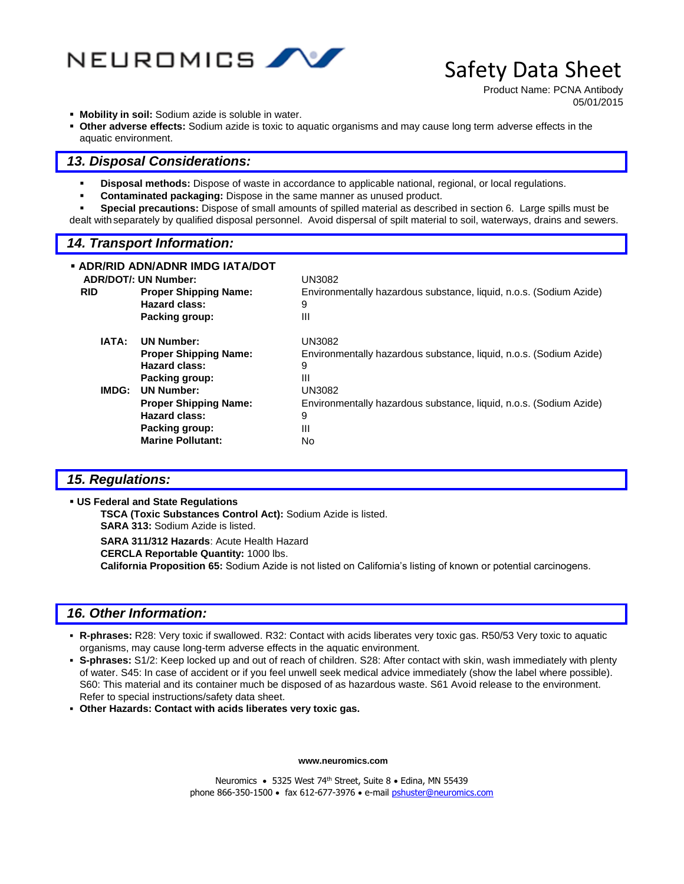

Product Name: PCNA Antibody 05/01/2015

- **Mobility in soil:** Sodium azide is soluble in water.
- **Other adverse effects:** Sodium azide is toxic to aquatic organisms and may cause long term adverse effects in the aquatic environment.

#### *13. Disposal Considerations:*

- **Disposal methods:** Dispose of waste in accordance to applicable national, regional, or local regulations.
- **Contaminated packaging:** Dispose in the same manner as unused product.
- **Special precautions:** Dispose of small amounts of spilled material as described in section 6. Large spills must be dealt withseparately by qualified disposal personnel. Avoid dispersal of spilt material to soil, waterways, drains and sewers.

#### *14. Transport Information:*

|            | ▪ ADR/RID ADN/ADNR IMDG IATA/DOT<br><b>ADR/DOT/: UN Number:</b>                                                         | <b>UN3082</b>                                                                                       |
|------------|-------------------------------------------------------------------------------------------------------------------------|-----------------------------------------------------------------------------------------------------|
| <b>RID</b> | <b>Proper Shipping Name:</b><br>Hazard class:<br>Packing group:                                                         | Environmentally hazardous substance, liquid, n.o.s. (Sodium Azide)<br>9<br>Ш                        |
| IATA:      | <b>UN Number:</b><br><b>Proper Shipping Name:</b>                                                                       | UN3082<br>Environmentally hazardous substance, liquid, n.o.s. (Sodium Azide)                        |
|            | <b>Hazard class:</b><br>Packing group:                                                                                  | 9<br>Ш                                                                                              |
| IMDG:      | <b>UN Number:</b><br><b>Proper Shipping Name:</b><br><b>Hazard class:</b><br>Packing group:<br><b>Marine Pollutant:</b> | <b>UN3082</b><br>Environmentally hazardous substance, liquid, n.o.s. (Sodium Azide)<br>9<br>Ш<br>No |

#### *15. Regulations:*

**US Federal and State Regulations** 

**TSCA (Toxic Substances Control Act):** Sodium Azide is listed. **SARA 313:** Sodium Azide is listed. **SARA 311/312 Hazards**: Acute Health Hazard **CERCLA Reportable Quantity:** 1000 lbs.

**California Proposition 65:** Sodium Azide is not listed on California's listing of known or potential carcinogens.

#### *16. Other Information:*

- **R-phrases:** R28: Very toxic if swallowed. R32: Contact with acids liberates very toxic gas. R50/53 Very toxic to aquatic organisms, may cause long-term adverse effects in the aquatic environment.
- **S-phrases:** S1/2: Keep locked up and out of reach of children. S28: After contact with skin, wash immediately with plenty of water. S45: In case of accident or if you feel unwell seek medical advice immediately (show the label where possible). S60: This material and its container much be disposed of as hazardous waste. S61 Avoid release to the environment. Refer to special instructions/safety data sheet.
- **Other Hazards: Contact with acids liberates very toxic gas.**

**www.neuromics.com**

Neuromics • 5325 West 74<sup>th</sup> Street, Suite 8 • Edina, MN 55439 phone 866-350-1500 · fax 612-677-3976 · e-mail [pshuster@neuromics.com](mailto:pshuster@neuromics.com)